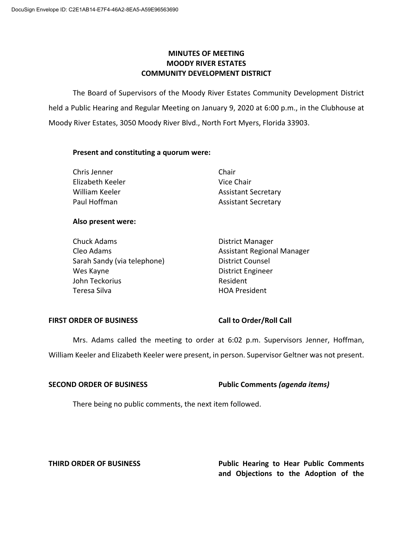# **MINUTES OF MEETING MOODY RIVER ESTATES COMMUNITY DEVELOPMENT DISTRICT**

The Board of Supervisors of the Moody River Estates Community Development District held a Public Hearing and Regular Meeting on January 9, 2020 at 6:00 p.m., in the Clubhouse at Moody River Estates, 3050 Moody River Blvd., North Fort Myers, Florida 33903.

### **Present and constituting a quorum were:**

| Chris Jenner     | Chair                      |
|------------------|----------------------------|
| Elizabeth Keeler | Vice Chair                 |
| William Keeler   | <b>Assistant Secretary</b> |
| Paul Hoffman     | <b>Assistant Secretary</b> |

#### **Also present were:**

| <b>Chuck Adams</b>          | <b>District Manager</b>           |
|-----------------------------|-----------------------------------|
| Cleo Adams                  | <b>Assistant Regional Manager</b> |
| Sarah Sandy (via telephone) | <b>District Counsel</b>           |
| Wes Kayne                   | <b>District Engineer</b>          |
| John Teckorius              | Resident                          |
| Teresa Silva                | <b>HOA President</b>              |

# **FIRST ORDER OF BUSINESS Call to Order/Roll Call**

Mrs. Adams called the meeting to order at 6:02 p.m. Supervisors Jenner, Hoffman, William Keeler and Elizabeth Keeler were present, in person. Supervisor Geltner was not present.

**SECOND ORDER OF BUSINESS Public Comments** *(agenda items)*

There being no public comments, the next item followed.

**THIRD ORDER OF BUSINESS Public Hearing to Hear Public Comments and Objections to the Adoption of the**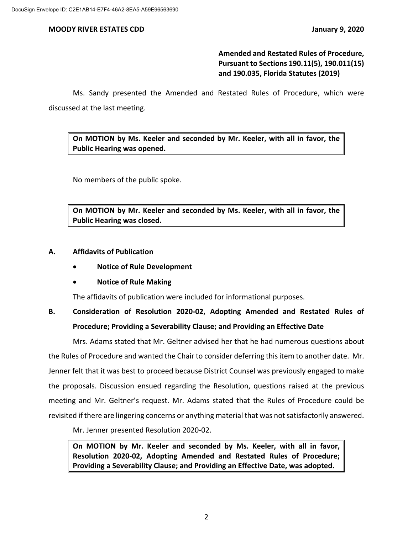# **Amended and Restated Rules of Procedure, Pursuant to Sections 190.11(5), 190.011(15) and 190.035, Florida Statutes (2019)**

Ms. Sandy presented the Amended and Restated Rules of Procedure, which were discussed at the last meeting.

**On MOTION by Ms. Keeler and seconded by Mr. Keeler, with all in favor, the Public Hearing was opened.**

No members of the public spoke.

**On MOTION by Mr. Keeler and seconded by Ms. Keeler, with all in favor, the Public Hearing was closed.**

### **A. Affidavits of Publication**

- **Notice of Rule Development**
- **Notice of Rule Making**

The affidavits of publication were included for informational purposes.

# **B. Consideration of Resolution 2020-02, Adopting Amended and Restated Rules of Procedure; Providing a Severability Clause; and Providing an Effective Date**

Mrs. Adams stated that Mr. Geltner advised her that he had numerous questions about the Rules of Procedure and wanted the Chair to consider deferring this item to another date. Mr. Jenner felt that it was best to proceed because District Counsel was previously engaged to make the proposals. Discussion ensued regarding the Resolution, questions raised at the previous meeting and Mr. Geltner's request. Mr. Adams stated that the Rules of Procedure could be revisited if there are lingering concerns or anything material that was not satisfactorily answered.

Mr. Jenner presented Resolution 2020-02.

**On MOTION by Mr. Keeler and seconded by Ms. Keeler, with all in favor, Resolution 2020-02, Adopting Amended and Restated Rules of Procedure; Providing a Severability Clause; and Providing an Effective Date, was adopted.**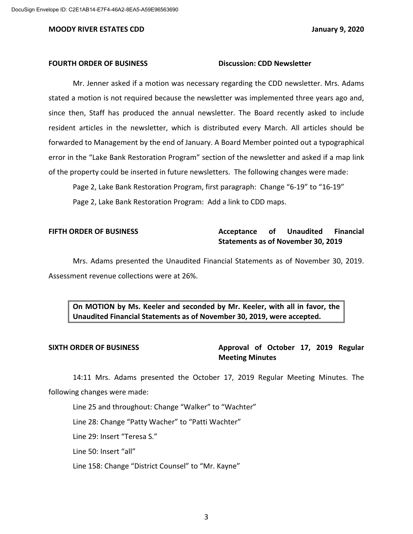#### **FOURTH ORDER OF BUSINESS Discussion: CDD Newsletter**

Mr. Jenner asked if a motion was necessary regarding the CDD newsletter. Mrs. Adams stated a motion is not required because the newsletter was implemented three years ago and, since then, Staff has produced the annual newsletter. The Board recently asked to include resident articles in the newsletter, which is distributed every March. All articles should be forwarded to Management by the end of January. A Board Member pointed out a typographical error in the "Lake Bank Restoration Program" section of the newsletter and asked if a map link of the property could be inserted in future newsletters. The following changes were made:

Page 2, Lake Bank Restoration Program, first paragraph: Change "6-19" to "16-19" Page 2, Lake Bank Restoration Program: Add a link to CDD maps.

# **FIFTH ORDER OF BUSINESS Acceptance of Unaudited Financial Statements as of November 30, 2019**

Mrs. Adams presented the Unaudited Financial Statements as of November 30, 2019. Assessment revenue collections were at 26%.

**On MOTION by Ms. Keeler and seconded by Mr. Keeler, with all in favor, the Unaudited Financial Statements as of November 30, 2019, were accepted.**

**SIXTH ORDER OF BUSINESS Approval of October 17, 2019 Regular Meeting Minutes**

14:11 Mrs. Adams presented the October 17, 2019 Regular Meeting Minutes. The following changes were made:

Line 25 and throughout: Change "Walker" to "Wachter"

Line 28: Change "Patty Wacher" to "Patti Wachter"

Line 29: Insert "Teresa S."

Line 50: Insert "all"

Line 158: Change "District Counsel" to "Mr. Kayne"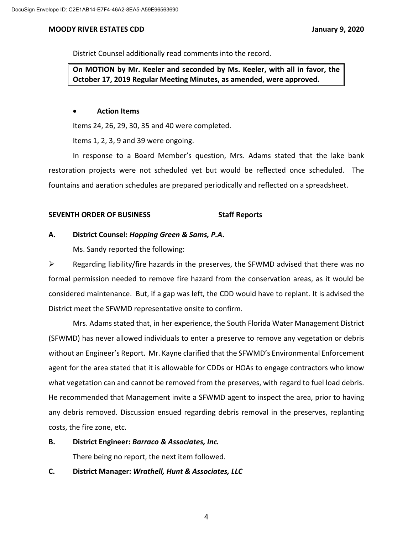District Counsel additionally read comments into the record.

**On MOTION by Mr. Keeler and seconded by Ms. Keeler, with all in favor, the October 17, 2019 Regular Meeting Minutes, as amended, were approved.** 

### • **Action Items**

Items 24, 26, 29, 30, 35 and 40 were completed.

Items 1, 2, 3, 9 and 39 were ongoing.

In response to a Board Member's question, Mrs. Adams stated that the lake bank restoration projects were not scheduled yet but would be reflected once scheduled. The fountains and aeration schedules are prepared periodically and reflected on a spreadsheet.

# **SEVENTH ORDER OF BUSINESS Staff Reports**

# **A. District Counsel:** *Hopping Green & Sams, P.A***.**

Ms. Sandy reported the following:

 $\triangleright$  Regarding liability/fire hazards in the preserves, the SFWMD advised that there was no formal permission needed to remove fire hazard from the conservation areas, as it would be considered maintenance. But, if a gap was left, the CDD would have to replant. It is advised the District meet the SFWMD representative onsite to confirm.

Mrs. Adams stated that, in her experience, the South Florida Water Management District (SFWMD) has never allowed individuals to enter a preserve to remove any vegetation or debris without an Engineer's Report. Mr. Kayne clarified that the SFWMD's Environmental Enforcement agent for the area stated that it is allowable for CDDs or HOAs to engage contractors who know what vegetation can and cannot be removed from the preserves, with regard to fuel load debris. He recommended that Management invite a SFWMD agent to inspect the area, prior to having any debris removed. Discussion ensued regarding debris removal in the preserves, replanting costs, the fire zone, etc.

**B. District Engineer:** *Barraco & Associates, Inc.*

There being no report, the next item followed.

# **C. District Manager:** *Wrathell, Hunt & Associates, LLC*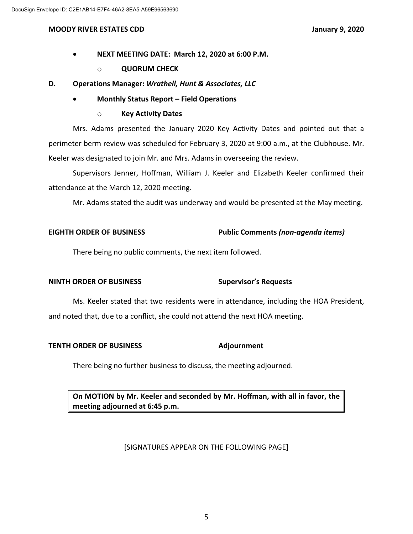- **NEXT MEETING DATE: March 12, 2020 at 6:00 P.M.**
	- o **QUORUM CHECK**
- **D. Operations Manager:** *Wrathell, Hunt & Associates, LLC*
	- **Monthly Status Report – Field Operations**
		- o **Key Activity Dates**

Mrs. Adams presented the January 2020 Key Activity Dates and pointed out that a perimeter berm review was scheduled for February 3, 2020 at 9:00 a.m., at the Clubhouse. Mr. Keeler was designated to join Mr. and Mrs. Adams in overseeing the review.

Supervisors Jenner, Hoffman, William J. Keeler and Elizabeth Keeler confirmed their attendance at the March 12, 2020 meeting.

Mr. Adams stated the audit was underway and would be presented at the May meeting.

# **EIGHTH ORDER OF BUSINESS Public Comments** *(non-agenda items)*

There being no public comments, the next item followed.

# **NINTH ORDER OF BUSINESS Supervisor's Requests**

Ms. Keeler stated that two residents were in attendance, including the HOA President, and noted that, due to a conflict, she could not attend the next HOA meeting.

# **TENTH ORDER OF BUSINESS Adjournment**

There being no further business to discuss, the meeting adjourned.

**On MOTION by Mr. Keeler and seconded by Mr. Hoffman, with all in favor, the meeting adjourned at 6:45 p.m.**

# [SIGNATURES APPEAR ON THE FOLLOWING PAGE]